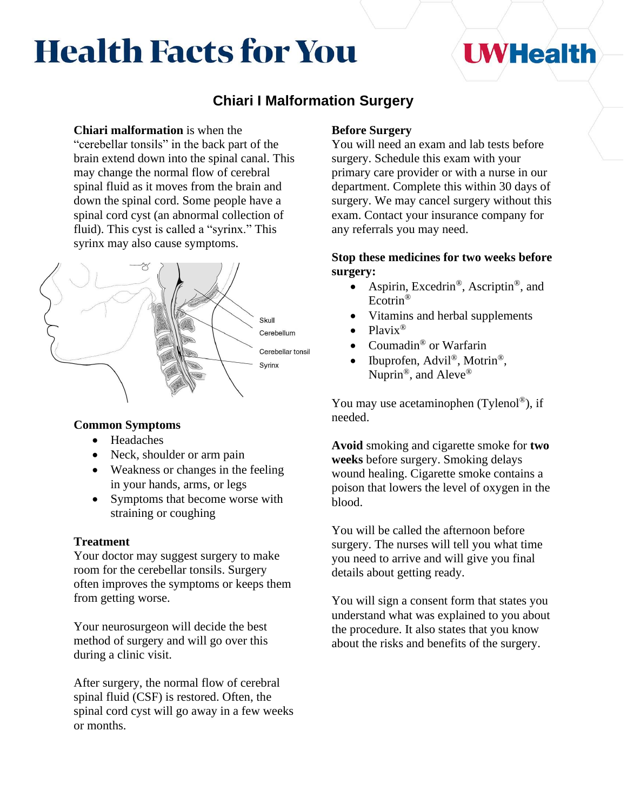# **Health Facts for You**

## **UWHealth**

## **Chiari I Malformation Surgery**

#### **Chiari malformation** is when the

"cerebellar tonsils" in the back part of the brain extend down into the spinal canal. This may change the normal flow of cerebral spinal fluid as it moves from the brain and down the spinal cord. Some people have a spinal cord cyst (an abnormal collection of fluid). This cyst is called a "syrinx." This syrinx may also cause symptoms.



## **Common Symptoms**

- Headaches
- Neck, shoulder or arm pain
- Weakness or changes in the feeling in your hands, arms, or legs
- Symptoms that become worse with straining or coughing

## **Treatment**

Your doctor may suggest surgery to make room for the cerebellar tonsils. Surgery often improves the symptoms or keeps them from getting worse.

Your neurosurgeon will decide the best method of surgery and will go over this during a clinic visit.

After surgery, the normal flow of cerebral spinal fluid (CSF) is restored. Often, the spinal cord cyst will go away in a few weeks or months.

## **Before Surgery**

You will need an exam and lab tests before surgery. Schedule this exam with your primary care provider or with a nurse in our department. Complete this within 30 days of surgery. We may cancel surgery without this exam. Contact your insurance company for any referrals you may need.

## **Stop these medicines for two weeks before surgery:**

- Aspirin, Excedrin<sup>®</sup>, Ascriptin<sup>®</sup>, and Ecotrin®
- Vitamins and herbal supplements
- Plavix<sup>®</sup>
- Coumadin<sup>®</sup> or Warfarin
- Ibuprofen, Advil<sup>®</sup>, Motrin<sup>®</sup>, Nuprin<sup>®</sup>, and Aleve<sup>®</sup>

You may use acetaminophen (Tylenol®), if needed.

**Avoid** smoking and cigarette smoke for **two weeks** before surgery. Smoking delays wound healing. Cigarette smoke contains a poison that lowers the level of oxygen in the blood.

You will be called the afternoon before surgery. The nurses will tell you what time you need to arrive and will give you final details about getting ready.

You will sign a consent form that states you understand what was explained to you about the procedure. It also states that you know about the risks and benefits of the surgery.